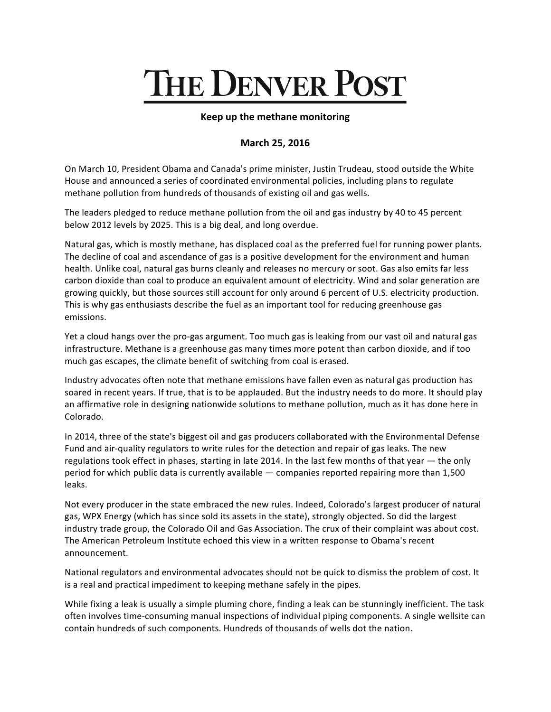## THE DENVER POST

## **Keep up the methane monitoring**

## **March 25, 2016**

On March 10, President Obama and Canada's prime minister, Justin Trudeau, stood outside the White House and announced a series of coordinated environmental policies, including plans to regulate methane pollution from hundreds of thousands of existing oil and gas wells.

The leaders pledged to reduce methane pollution from the oil and gas industry by 40 to 45 percent below 2012 levels by 2025. This is a big deal, and long overdue.

Natural gas, which is mostly methane, has displaced coal as the preferred fuel for running power plants. The decline of coal and ascendance of gas is a positive development for the environment and human health. Unlike coal, natural gas burns cleanly and releases no mercury or soot. Gas also emits far less carbon dioxide than coal to produce an equivalent amount of electricity. Wind and solar generation are growing quickly, but those sources still account for only around 6 percent of U.S. electricity production. This is why gas enthusiasts describe the fuel as an important tool for reducing greenhouse gas emissions.

Yet a cloud hangs over the pro-gas argument. Too much gas is leaking from our vast oil and natural gas infrastructure. Methane is a greenhouse gas many times more potent than carbon dioxide, and if too much gas escapes, the climate benefit of switching from coal is erased.

Industry advocates often note that methane emissions have fallen even as natural gas production has soared in recent years. If true, that is to be applauded. But the industry needs to do more. It should play an affirmative role in designing nationwide solutions to methane pollution, much as it has done here in Colorado.

In 2014, three of the state's biggest oil and gas producers collaborated with the Environmental Defense Fund and air-quality regulators to write rules for the detection and repair of gas leaks. The new regulations took effect in phases, starting in late 2014. In the last few months of that year  $-$  the only period for which public data is currently available — companies reported repairing more than 1,500 leaks.

Not every producer in the state embraced the new rules. Indeed, Colorado's largest producer of natural gas, WPX Energy (which has since sold its assets in the state), strongly objected. So did the largest industry trade group, the Colorado Oil and Gas Association. The crux of their complaint was about cost. The American Petroleum Institute echoed this view in a written response to Obama's recent announcement.

National regulators and environmental advocates should not be quick to dismiss the problem of cost. It is a real and practical impediment to keeping methane safely in the pipes.

While fixing a leak is usually a simple pluming chore, finding a leak can be stunningly inefficient. The task often involves time-consuming manual inspections of individual piping components. A single wellsite can contain hundreds of such components. Hundreds of thousands of wells dot the nation.